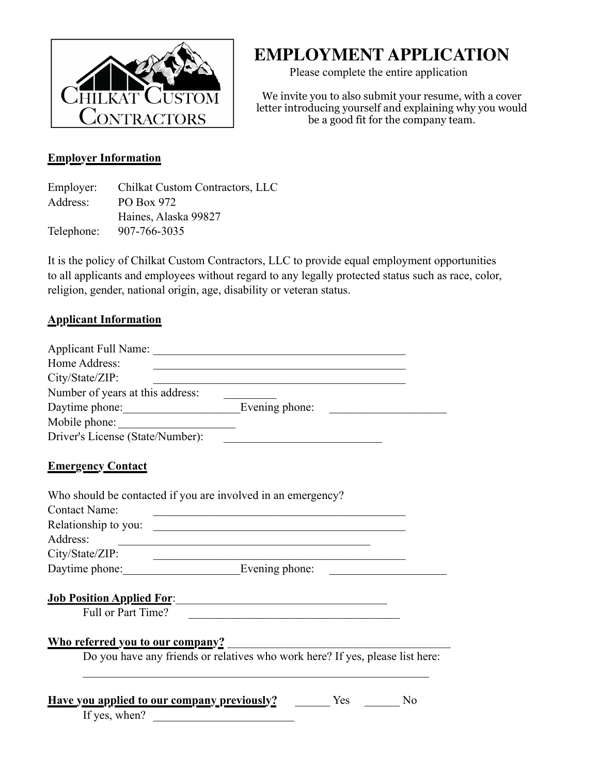

# **EMPLOYMENT APPLICATION**

Please complete the entire application

We invite you to also submit your resume, with a cover letter introducing yourself and explaining why you would be a good fit for the company team.

#### **Employer Information**

| Employer:  | Chilkat Custom Contractors, LLC |
|------------|---------------------------------|
| Address:   | PO Box 972                      |
|            | Haines, Alaska 99827            |
| Telephone: | 907-766-3035                    |

It is the policy of Chilkat Custom Contractors, LLC to provide equal employment opportunities to all applicants and employees without regard to any legally protected status such as race, color, religion, gender, national origin, age, disability or veteran status.

#### **Applicant Information**

| Home Address:                                                | <u> 1980 - Johann John Stone, markin film yn y brenin y brenin y brenin y brenin y brenin y brenin y brenin y br</u> |  |
|--------------------------------------------------------------|----------------------------------------------------------------------------------------------------------------------|--|
| City/State/ZIP:                                              |                                                                                                                      |  |
| Number of years at this address:                             |                                                                                                                      |  |
|                                                              |                                                                                                                      |  |
| Mobile phone:                                                |                                                                                                                      |  |
| Driver's License (State/Number):                             |                                                                                                                      |  |
| <b>Emergency Contact</b>                                     |                                                                                                                      |  |
| Who should be contacted if you are involved in an emergency? |                                                                                                                      |  |
| <b>Contact Name:</b>                                         | <u> Alexandria de la contrada de la contrada de la contrada de la contrada de la contrada de la contrada de la c</u> |  |
| Relationship to you:                                         |                                                                                                                      |  |
| Address:                                                     |                                                                                                                      |  |
| City/State/ZIP:                                              | <u> 1989 - Johann Barbara, marka a shekara tsa 1989 - An tsa 1989 - An tsa 1989 - An tsa 1989 - An tsa 1989 - An</u> |  |
| Daytime phone: Evening phone:                                |                                                                                                                      |  |
|                                                              |                                                                                                                      |  |
| Full or Part Time?                                           |                                                                                                                      |  |
| <b>Who referred you to our company?</b>                      |                                                                                                                      |  |
|                                                              | Do you have any friends or relatives who work here? If yes, please list here:                                        |  |
| <b>Have you applied to our company previously?</b> No No No  |                                                                                                                      |  |
| If yes, when? $\qquad \qquad$                                |                                                                                                                      |  |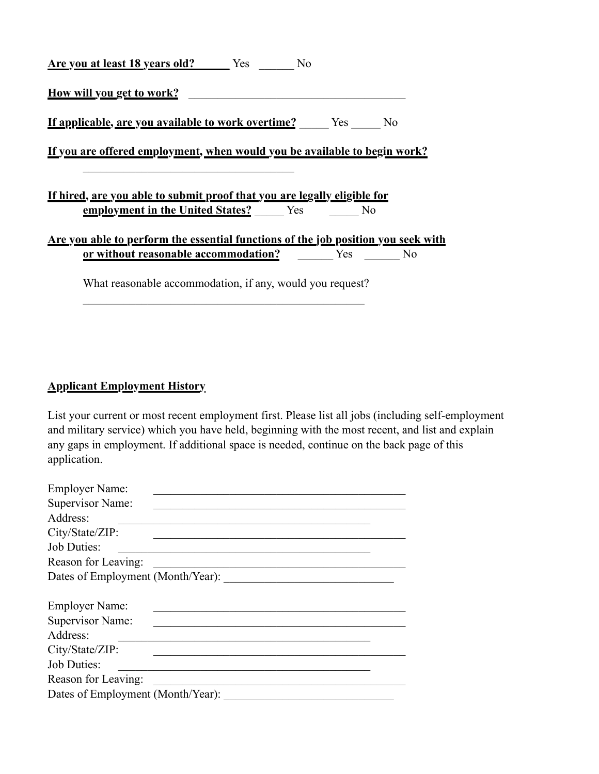| Are you at least 18 years old? Yes                                                | N <sub>0</sub> |  |  |
|-----------------------------------------------------------------------------------|----------------|--|--|
| <u>How will you get to work?</u>                                                  |                |  |  |
| <u>If applicable, are you available to work overtime?</u> Yes No                  |                |  |  |
| <u>If you are offered employment, when would you be available to begin work?</u>  |                |  |  |
|                                                                                   |                |  |  |
| <u>If hired, are you able to submit proof that you are legally eligible for</u>   |                |  |  |
| employment in the United States? Yes No                                           |                |  |  |
| Are you able to perform the essential functions of the job position you seek with |                |  |  |
| or without reasonable accommodation? Yes No                                       |                |  |  |
|                                                                                   |                |  |  |

 $\mathcal{L}_\text{max}$  and the contract of the contract of the contract of the contract of the contract of the contract of the contract of the contract of the contract of the contract of the contract of the contract of the contrac

## **Applicant Employment History**

List your current or most recent employment first. Please list all jobs (including self-employment and military service) which you have held, beginning with the most recent, and list and explain any gaps in employment. If additional space is needed, continue on the back page of this application.

| <b>Employer Name:</b>             |  |  |  |  |
|-----------------------------------|--|--|--|--|
| Supervisor Name:                  |  |  |  |  |
| Address:                          |  |  |  |  |
| City/State/ZIP:                   |  |  |  |  |
| <b>Job Duties:</b>                |  |  |  |  |
| Reason for Leaving:               |  |  |  |  |
| Dates of Employment (Month/Year): |  |  |  |  |
|                                   |  |  |  |  |
| Employer Name:                    |  |  |  |  |
| Supervisor Name:                  |  |  |  |  |
| Address:                          |  |  |  |  |
| City/State/ZIP:                   |  |  |  |  |
| <b>Job Duties:</b>                |  |  |  |  |
| Reason for Leaving:               |  |  |  |  |
| Dates of Employment (Month/Year): |  |  |  |  |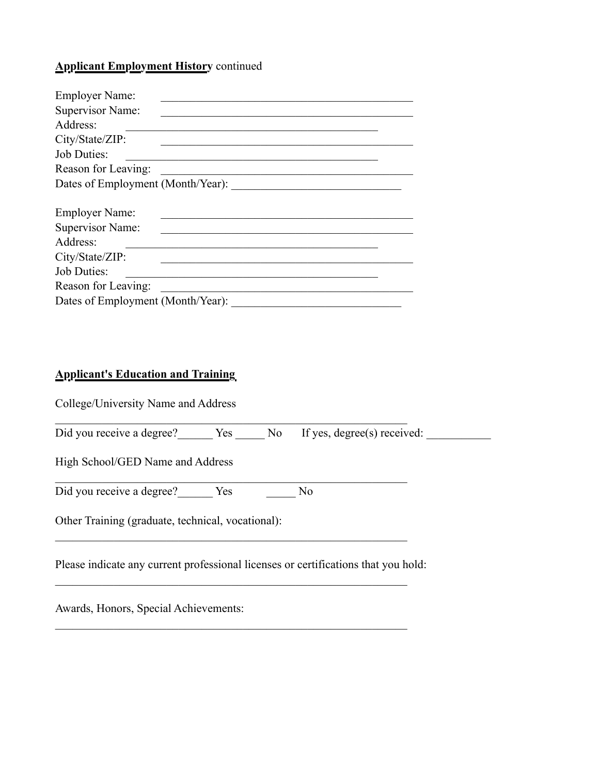## **Applicant Employment History** continued

| <b>Employer Name:</b>             |  |  |  |  |
|-----------------------------------|--|--|--|--|
| Supervisor Name:                  |  |  |  |  |
| Address:                          |  |  |  |  |
| City/State/ZIP:                   |  |  |  |  |
| <b>Job Duties:</b>                |  |  |  |  |
| Reason for Leaving:               |  |  |  |  |
| Dates of Employment (Month/Year): |  |  |  |  |
|                                   |  |  |  |  |
| <b>Employer Name:</b>             |  |  |  |  |
| Supervisor Name:                  |  |  |  |  |
| Address:                          |  |  |  |  |
| City/State/ZIP:                   |  |  |  |  |
| <b>Job Duties:</b>                |  |  |  |  |
| Reason for Leaving:               |  |  |  |  |
|                                   |  |  |  |  |

#### **Applicant's Education and Training**

College/University Name and Address

| Did you receive a degree? | Yes |  | No If yes, degree(s) received: |  |
|---------------------------|-----|--|--------------------------------|--|
|                           |     |  |                                |  |

 $\mathcal{L}_\text{max}$  , and the contribution of the contribution of the contribution of the contribution of the contribution of the contribution of the contribution of the contribution of the contribution of the contribution of t

 $\mathcal{L}_\text{max}$  , and the contribution of the contribution of the contribution of the contribution of the contribution of the contribution of the contribution of the contribution of the contribution of the contribution of t

 $\mathcal{L}_\text{max}$  , and the contribution of the contribution of the contribution of the contribution of the contribution of the contribution of the contribution of the contribution of the contribution of the contribution of t

 $\mathcal{L}_\text{max}$  , and the contribution of the contribution of the contribution of the contribution of the contribution of the contribution of the contribution of the contribution of the contribution of the contribution of t

 $\mathcal{L}_\text{max}$  , and the contribution of the contribution of the contribution of the contribution of the contribution of the contribution of the contribution of the contribution of the contribution of the contribution of t

High School/GED Name and Address

Did you receive a degree? Ves Westerman No

Other Training (graduate, technical, vocational):

Please indicate any current professional licenses or certifications that you hold:

Awards, Honors, Special Achievements: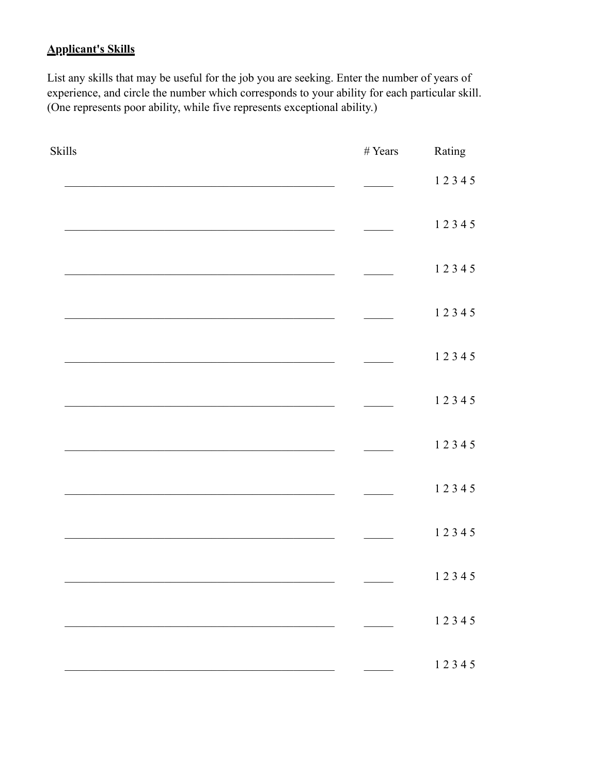## **Applicant's Skills**

List any skills that may be useful for the job you are seeking. Enter the number of years of experience, and circle the number which corresponds to your ability for each particular skill. (One represents poor ability, while five represents exceptional ability.)

| Skills | $\#$ Years | Rating |
|--------|------------|--------|
|        |            | 12345  |
|        |            | 12345  |
|        |            | 12345  |
|        |            | 12345  |
|        |            | 12345  |
|        |            | 12345  |
|        |            | 12345  |
|        |            | 12345  |
|        |            | 12345  |
|        |            | 12345  |
|        |            | 12345  |
|        |            | 12345  |